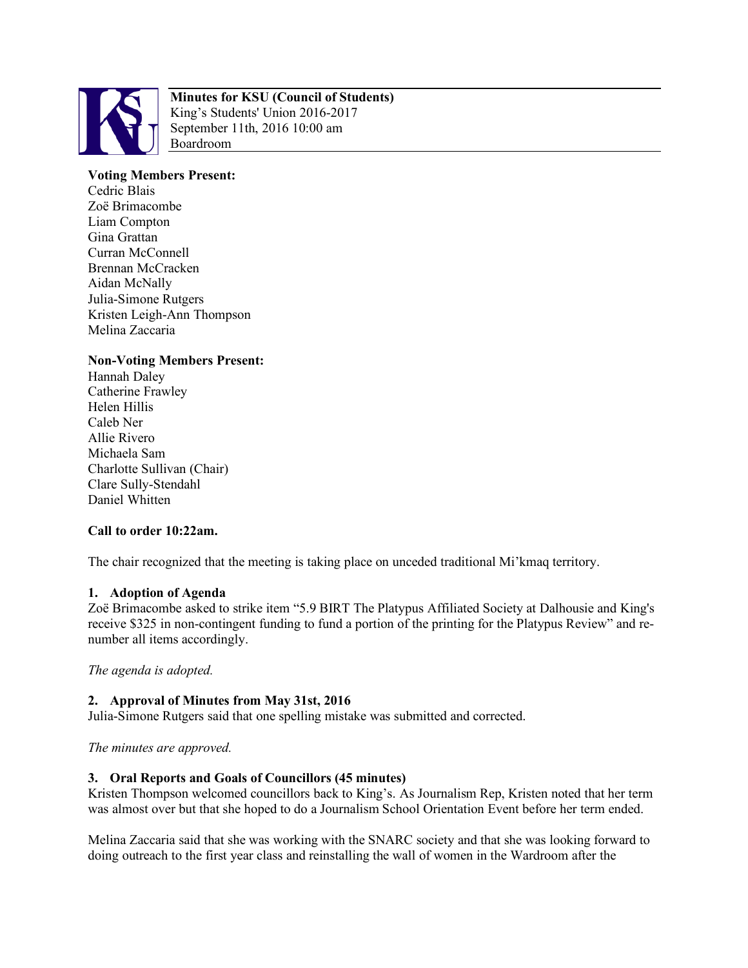

# **Minutes for KSU (Council of Students)**

King's Students' Union 2016-2017 September 11th, 2016 10:00 am Boardroom

# **Voting Members Present:**

Cedric Blais Zoë Brimacombe Liam Compton Gina Grattan Curran McConnell Brennan McCracken Aidan McNally Julia-Simone Rutgers Kristen Leigh-Ann Thompson Melina Zaccaria

# **Non-Voting Members Present:**

Hannah Daley Catherine Frawley Helen Hillis Caleb Ner Allie Rivero Michaela Sam Charlotte Sullivan (Chair) Clare Sully-Stendahl Daniel Whitten

# **Call to order 10:22am.**

The chair recognized that the meeting is taking place on unceded traditional Mi'kmaq territory.

### **1. Adoption of Agenda**

Zoë Brimacombe asked to strike item "5.9 BIRT The Platypus Affiliated Society at Dalhousie and King's receive \$325 in non-contingent funding to fund a portion of the printing for the Platypus Review" and renumber all items accordingly.

*The agenda is adopted.*

# **2. Approval of Minutes from May 31st, 2016**

Julia-Simone Rutgers said that one spelling mistake was submitted and corrected.

*The minutes are approved.*

### **3. Oral Reports and Goals of Councillors (45 minutes)**

Kristen Thompson welcomed councillors back to King's. As Journalism Rep, Kristen noted that her term was almost over but that she hoped to do a Journalism School Orientation Event before her term ended.

Melina Zaccaria said that she was working with the SNARC society and that she was looking forward to doing outreach to the first year class and reinstalling the wall of women in the Wardroom after the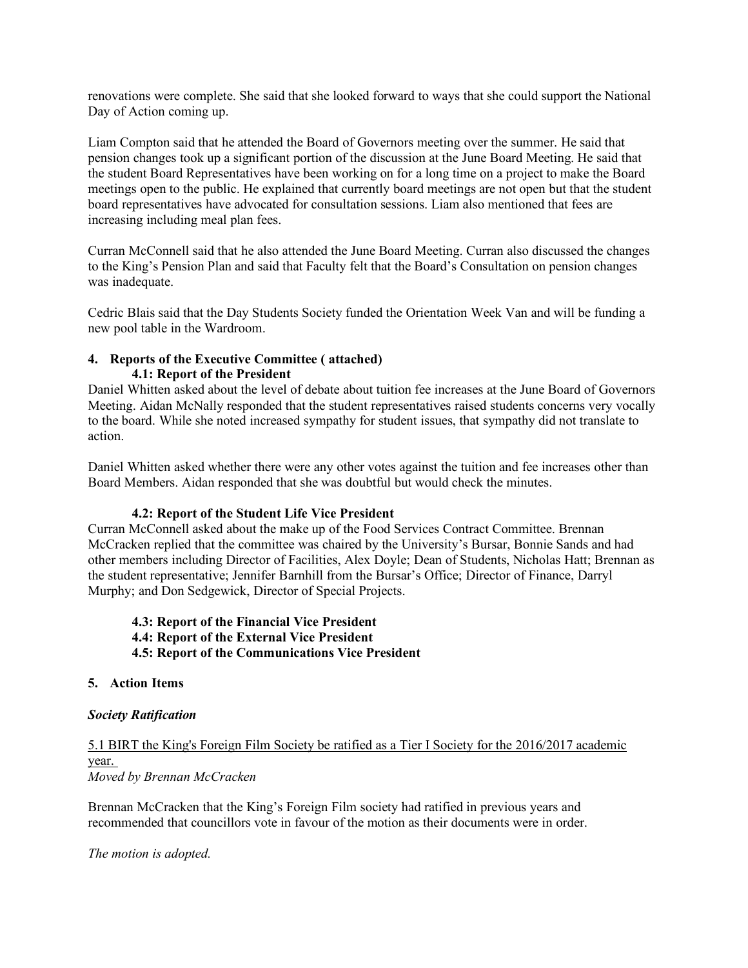renovations were complete. She said that she looked forward to ways that she could support the National Day of Action coming up.

Liam Compton said that he attended the Board of Governors meeting over the summer. He said that pension changes took up a significant portion of the discussion at the June Board Meeting. He said that the student Board Representatives have been working on for a long time on a project to make the Board meetings open to the public. He explained that currently board meetings are not open but that the student board representatives have advocated for consultation sessions. Liam also mentioned that fees are increasing including meal plan fees.

Curran McConnell said that he also attended the June Board Meeting. Curran also discussed the changes to the King's Pension Plan and said that Faculty felt that the Board's Consultation on pension changes was inadequate.

Cedric Blais said that the Day Students Society funded the Orientation Week Van and will be funding a new pool table in the Wardroom.

## **4. Reports of the Executive Committee ( attached) 4.1: Report of the President**

Daniel Whitten asked about the level of debate about tuition fee increases at the June Board of Governors Meeting. Aidan McNally responded that the student representatives raised students concerns very vocally to the board. While she noted increased sympathy for student issues, that sympathy did not translate to action.

Daniel Whitten asked whether there were any other votes against the tuition and fee increases other than Board Members. Aidan responded that she was doubtful but would check the minutes.

### **4.2: Report of the Student Life Vice President**

Curran McConnell asked about the make up of the Food Services Contract Committee. Brennan McCracken replied that the committee was chaired by the University's Bursar, Bonnie Sands and had other members including Director of Facilities, Alex Doyle; Dean of Students, Nicholas Hatt; Brennan as the student representative; Jennifer Barnhill from the Bursar's Office; Director of Finance, Darryl Murphy; and Don Sedgewick, Director of Special Projects.

### **4.3: Report of the Financial Vice President 4.4: Report of the External Vice President 4.5: Report of the Communications Vice President**

### **5. Action Items**

### *Society Ratification*

#### 5.1 BIRT the King's Foreign Film Society be ratified as a Tier I Society for the 2016/2017 academic year. *Moved by Brennan McCracken*

Brennan McCracken that the King's Foreign Film society had ratified in previous years and recommended that councillors vote in favour of the motion as their documents were in order.

*The motion is adopted.*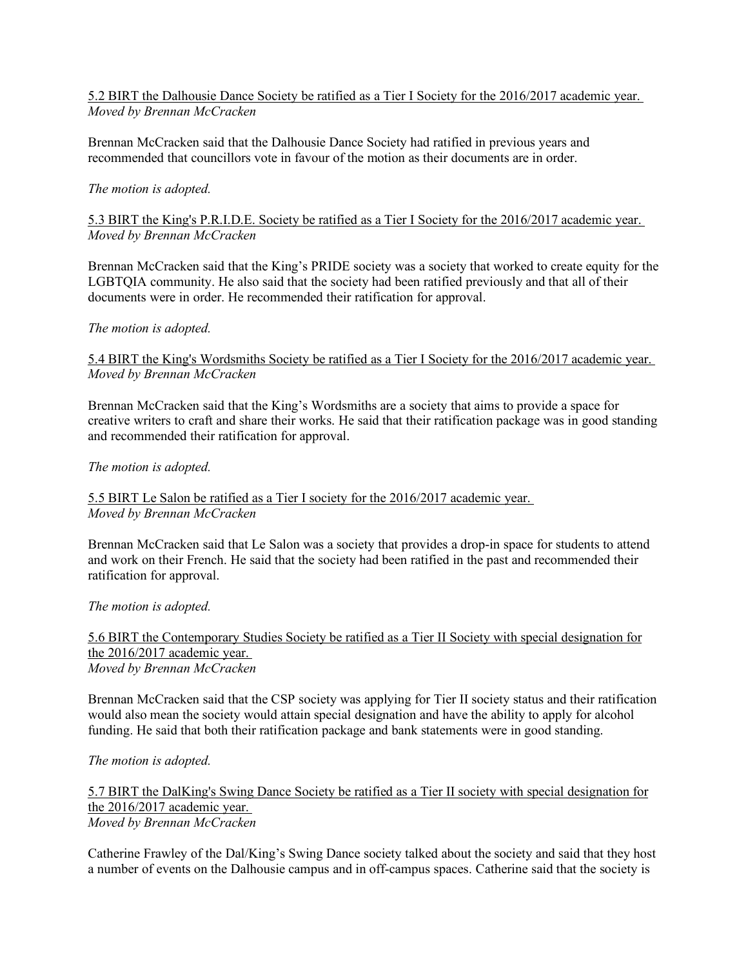## 5.2 BIRT the Dalhousie Dance Society be ratified as a Tier I Society for the 2016/2017 academic year. *Moved by Brennan McCracken*

Brennan McCracken said that the Dalhousie Dance Society had ratified in previous years and recommended that councillors vote in favour of the motion as their documents are in order.

## *The motion is adopted.*

5.3 BIRT the King's P.R.I.D.E. Society be ratified as a Tier I Society for the 2016/2017 academic year. *Moved by Brennan McCracken*

Brennan McCracken said that the King's PRIDE society was a society that worked to create equity for the LGBTQIA community. He also said that the society had been ratified previously and that all of their documents were in order. He recommended their ratification for approval.

### *The motion is adopted.*

## 5.4 BIRT the King's Wordsmiths Society be ratified as a Tier I Society for the 2016/2017 academic year. *Moved by Brennan McCracken*

Brennan McCracken said that the King's Wordsmiths are a society that aims to provide a space for creative writers to craft and share their works. He said that their ratification package was in good standing and recommended their ratification for approval.

## *The motion is adopted.*

## 5.5 BIRT Le Salon be ratified as a Tier I society for the 2016/2017 academic year. *Moved by Brennan McCracken*

Brennan McCracken said that Le Salon was a society that provides a drop-in space for students to attend and work on their French. He said that the society had been ratified in the past and recommended their ratification for approval.

### *The motion is adopted.*

5.6 BIRT the Contemporary Studies Society be ratified as a Tier II Society with special designation for the 2016/2017 academic year. *Moved by Brennan McCracken*

Brennan McCracken said that the CSP society was applying for Tier II society status and their ratification would also mean the society would attain special designation and have the ability to apply for alcohol funding. He said that both their ratification package and bank statements were in good standing.

*The motion is adopted.*

5.7 BIRT the DalKing's Swing Dance Society be ratified as a Tier II society with special designation for the 2016/2017 academic year. *Moved by Brennan McCracken*

Catherine Frawley of the Dal/King's Swing Dance society talked about the society and said that they host a number of events on the Dalhousie campus and in off-campus spaces. Catherine said that the society is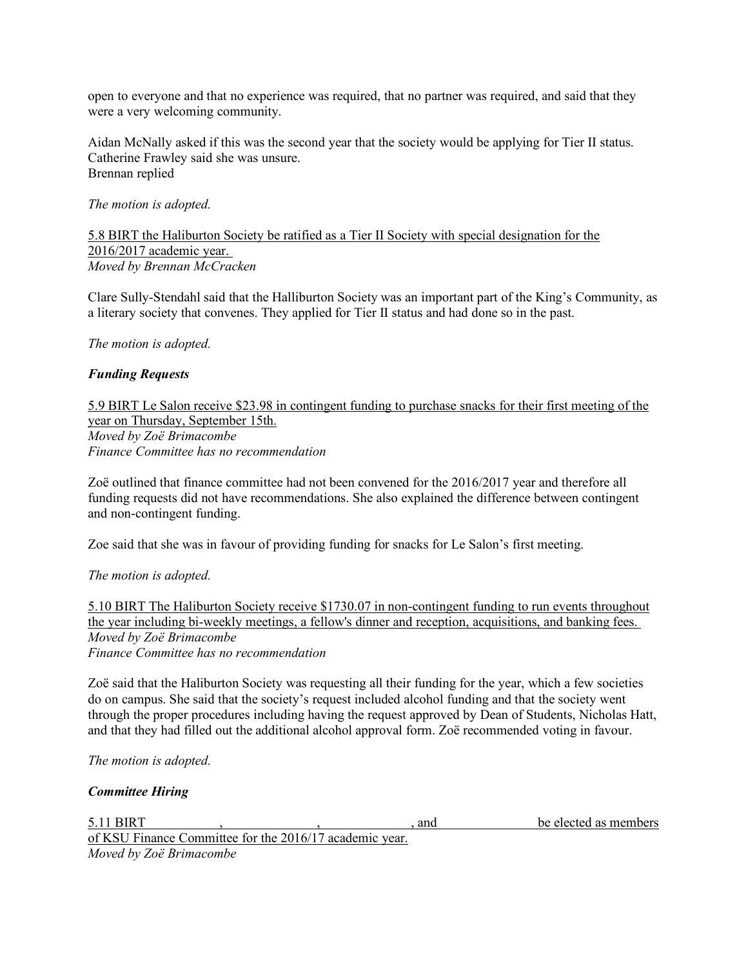open to everyone and that no experience was required, that no partner was required, and said that they were a very welcoming community.

Aidan McNally asked if this was the second year that the society would be applying for Tier II status. Catherine Frawley said she was unsure. Brennan replied

## *The motion is adopted.*

## 5.8 BIRT the Haliburton Society be ratified as a Tier II Society with special designation for the 2016/2017 academic year. *Moved by Brennan McCracken*

Clare Sully-Stendahl said that the Halliburton Society was an important part of the King's Community, as a literary society that convenes. They applied for Tier II status and had done so in the past.

*The motion is adopted.*

# *Funding Requests*

5.9 BIRT Le Salon receive \$23.98 in contingent funding to purchase snacks for their first meeting of the year on Thursday, September 15th. *Moved by Zoë Brimacombe Finance Committee has no recommendation*

Zoë outlined that finance committee had not been convened for the 2016/2017 year and therefore all funding requests did not have recommendations. She also explained the difference between contingent and non-contingent funding.

Zoe said that she was in favour of providing funding for snacks for Le Salon's first meeting.

### *The motion is adopted.*

5.10 BIRT The Haliburton Society receive \$1730.07 in non-contingent funding to run events throughout the year including bi-weekly meetings, a fellow's dinner and reception, acquisitions, and banking fees. *Moved by Zoë Brimacombe Finance Committee has no recommendation*

Zoë said that the Haliburton Society was requesting all their funding for the year, which a few societies do on campus. She said that the society's request included alcohol funding and that the society went through the proper procedures including having the request approved by Dean of Students, Nicholas Hatt, and that they had filled out the additional alcohol approval form. Zoë recommended voting in favour.

*The motion is adopted.*

## *Committee Hiring*

| 5.11 BIRT                                               |  | and | be elected as members |
|---------------------------------------------------------|--|-----|-----------------------|
| of KSU Finance Committee for the 2016/17 academic year. |  |     |                       |
| Moved by Zoë Brimacombe                                 |  |     |                       |